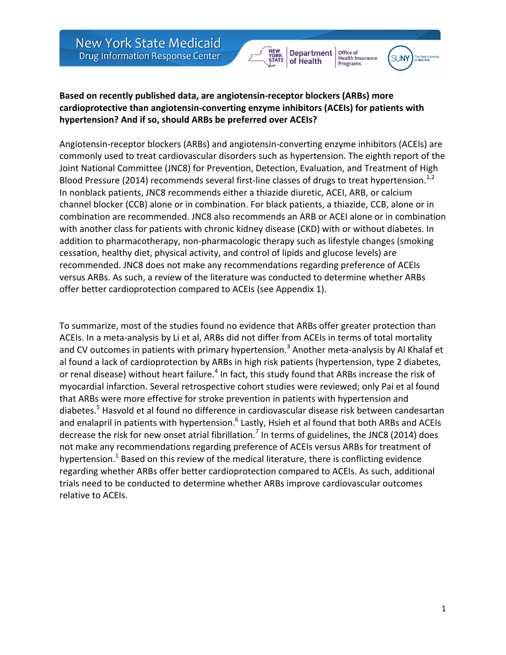**New York State Medicaid** Drug Information Response Center

**Department** of Health

Office of

Health Insurance<br>Programs



### Based on recently published data, are angiotensin-receptor blockers (ARBs) more cardioprotective than angiotensin-converting enzyme inhibitors (ACEIs) for patients with hypertension? And if so, should ARBs be preferred over ACEIs?

Angiotensin-receptor blockers (ARBs) and angiotensin-converting enzyme inhibitors (ACEIs) are commonly used to treat cardiovascular disorders such as hypertension. The eighth report of the Joint National Committee (JNC8) for Prevention, Detection, Evaluation, and Treatment of High Blood Pressure (2014) recommends several first-line classes of drugs to treat hypertension.<sup>1,2</sup> In nonblack patients, JNC8 recommends either a thiazide diuretic, ACEI, ARB, or calcium channel blocker (CCB) alone or in combination. For black patients, a thiazide, CCB, alone or in combination are recommended. JNC8 also recommends an ARB or ACEI alone or in combination with another class for patients with chronic kidney disease (CKD) with or without diabetes. In addition to pharmacotherapy, non-pharmacologic therapy such as lifestyle changes (smoking cessation, healthy diet, physical activity, and control of lipids and glucose levels) are recommended. JNC8 does not make any recommendations regarding preference of ACEIs versus ARBs. As such, a review of the literature was conducted to determine whether ARBs offer better cardioprotection compared to ACEIs (see Appendix 1).

To summarize, most of the studies found no evidence that ARBs offer greater protection than ACEIs. In a meta-analysis by Li et al, ARBs did not differ from ACEIs in terms of total mortality and CV outcomes in patients with primary hypertension.<sup>3</sup> Another meta-analysis by Al Khalaf et al found a lack of cardioprotection by ARBs in high risk patients (hypertension, type 2 diabetes, or renal disease) without heart failure.<sup>4</sup> In fact, this study found that ARBs increase the risk of myocardial infarction. Several retrospective cohort studies were reviewed; only Pai et al found that ARBs were more effective for stroke prevention in patients with hypertension and diabetes.<sup>5</sup> Hasvold et al found no difference in cardiovascular disease risk between candesartan and enalapril in patients with hypertension.<sup>6</sup> Lastly, Hsieh et al found that both ARBs and ACEIs decrease the risk for new onset atrial fibrillation.<sup>7</sup> In terms of guidelines, the JNC8 (2014) does not make any recommendations regarding preference of ACEIs versus ARBs for treatment of hypertension.<sup>1</sup> Based on this review of the medical literature, there is conflicting evidence regarding whether ARBs offer better cardioprotection compared to ACEIs. As such, additional trials need to be conducted to determine whether ARBs improve cardiovascular outcomes relative to ACEIs.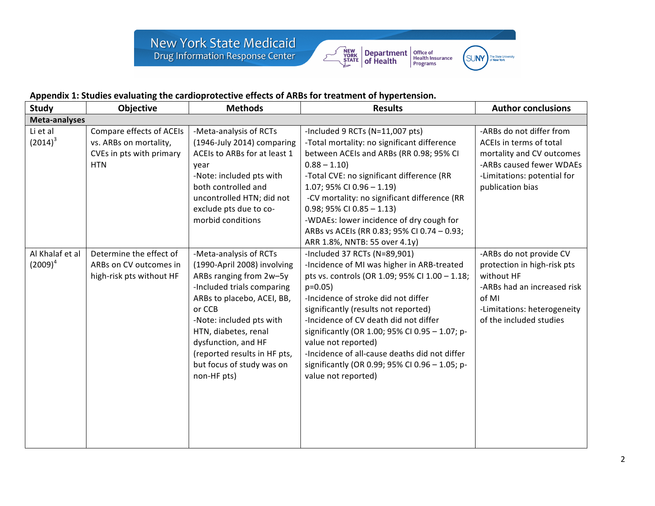



## Appendix 1: Studies evaluating the cardioprotective effects of ARBs for treatment of hypertension.

| <b>Study</b>                  | Objective                                                                                    | <b>Methods</b>                                                                                                                                                                                                                                                                                                | <b>Results</b>                                                                                                                                                                                                                                                                                                                                                                                                                                                      | <b>Author conclusions</b>                                                                                                                                              |  |  |  |  |
|-------------------------------|----------------------------------------------------------------------------------------------|---------------------------------------------------------------------------------------------------------------------------------------------------------------------------------------------------------------------------------------------------------------------------------------------------------------|---------------------------------------------------------------------------------------------------------------------------------------------------------------------------------------------------------------------------------------------------------------------------------------------------------------------------------------------------------------------------------------------------------------------------------------------------------------------|------------------------------------------------------------------------------------------------------------------------------------------------------------------------|--|--|--|--|
| Meta-analyses                 |                                                                                              |                                                                                                                                                                                                                                                                                                               |                                                                                                                                                                                                                                                                                                                                                                                                                                                                     |                                                                                                                                                                        |  |  |  |  |
| Li et al<br>$(2014)^3$        | Compare effects of ACEIs<br>vs. ARBs on mortality,<br>CVEs in pts with primary<br><b>HTN</b> | -Meta-analysis of RCTs<br>(1946-July 2014) comparing<br>ACEIs to ARBs for at least 1<br>year<br>-Note: included pts with<br>both controlled and<br>uncontrolled HTN; did not<br>exclude pts due to co-<br>morbid conditions                                                                                   | -Included 9 RCTs (N=11,007 pts)<br>-Total mortality: no significant difference<br>between ACEIs and ARBs (RR 0.98; 95% CI<br>$0.88 - 1.10$<br>-Total CVE: no significant difference (RR<br>1.07; 95% CI 0.96 - 1.19)<br>-CV mortality: no significant difference (RR<br>$0.98; 95\%$ CI $0.85 - 1.13$<br>-WDAEs: lower incidence of dry cough for<br>ARBs vs ACEIs (RR 0.83; 95% CI 0.74 - 0.93;<br>ARR 1.8%, NNTB: 55 over 4.1y)                                   | -ARBs do not differ from<br>ACEIs in terms of total<br>mortality and CV outcomes<br>-ARBs caused fewer WDAEs<br>-Limitations: potential for<br>publication bias        |  |  |  |  |
| Al Khalaf et al<br>$(2009)^4$ | Determine the effect of<br>ARBs on CV outcomes in<br>high-risk pts without HF                | -Meta-analysis of RCTs<br>(1990-April 2008) involving<br>ARBs ranging from 2w-5y<br>-Included trials comparing<br>ARBs to placebo, ACEI, BB,<br>or CCB<br>-Note: included pts with<br>HTN, diabetes, renal<br>dysfunction, and HF<br>(reported results in HF pts,<br>but focus of study was on<br>non-HF pts) | -Included 37 RCTs (N=89,901)<br>-Incidence of MI was higher in ARB-treated<br>pts vs. controls (OR 1.09; 95% CI 1.00 - 1.18;<br>$p=0.05$<br>-Incidence of stroke did not differ<br>significantly (results not reported)<br>-Incidence of CV death did not differ<br>significantly (OR 1.00; 95% CI 0.95 - 1.07; p-<br>value not reported)<br>-Incidence of all-cause deaths did not differ<br>significantly (OR 0.99; 95% CI 0.96 - 1.05; p-<br>value not reported) | -ARBs do not provide CV<br>protection in high-risk pts<br>without HF<br>-ARBs had an increased risk<br>of MI<br>-Limitations: heterogeneity<br>of the included studies |  |  |  |  |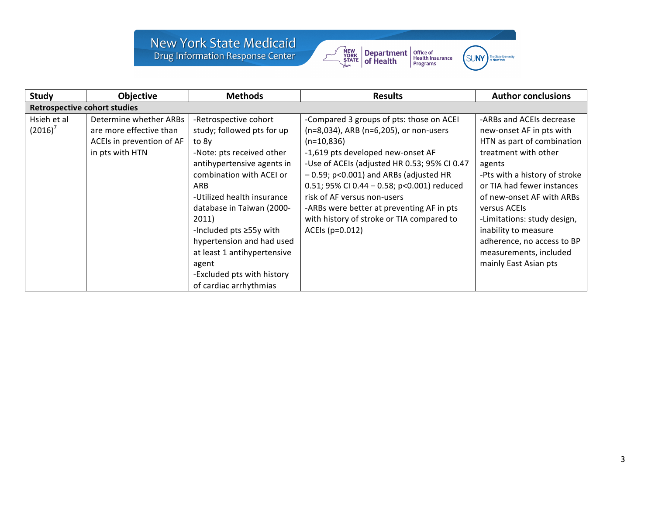# New York State Medicaid<br>Drug Information Response Center





| <b>Study</b>                        | <b>Objective</b>          | <b>Methods</b>              | <b>Results</b>                               | <b>Author conclusions</b>     |  |  |  |  |
|-------------------------------------|---------------------------|-----------------------------|----------------------------------------------|-------------------------------|--|--|--|--|
| <b>Retrospective cohort studies</b> |                           |                             |                                              |                               |  |  |  |  |
| Hsieh et al                         | Determine whether ARBs    | -Retrospective cohort       | -Compared 3 groups of pts: those on ACEI     | -ARBs and ACEIs decrease      |  |  |  |  |
| $(2016)^7$                          | are more effective than   | study; followed pts for up  | (n=8,034), ARB (n=6,205), or non-users       | new-onset AF in pts with      |  |  |  |  |
|                                     | ACEIs in prevention of AF | to 8y                       | $(n=10,836)$                                 | HTN as part of combination    |  |  |  |  |
|                                     | in pts with HTN           | -Note: pts received other   | -1,619 pts developed new-onset AF            | treatment with other          |  |  |  |  |
|                                     |                           | antihypertensive agents in  | -Use of ACEIs (adjusted HR 0.53; 95% CI 0.47 | agents                        |  |  |  |  |
|                                     |                           | combination with ACEI or    | $-0.59$ ; p<0.001) and ARBs (adjusted HR     | -Pts with a history of stroke |  |  |  |  |
|                                     |                           | ARB                         | 0.51; 95% CI 0.44 - 0.58; p<0.001) reduced   | or TIA had fewer instances    |  |  |  |  |
|                                     |                           | -Utilized health insurance  | risk of AF versus non-users                  | of new-onset AF with ARBs     |  |  |  |  |
|                                     |                           | database in Taiwan (2000-   | -ARBs were better at preventing AF in pts    | versus ACEIs                  |  |  |  |  |
|                                     |                           | 2011)                       | with history of stroke or TIA compared to    | -Limitations: study design,   |  |  |  |  |
|                                     |                           | -Included pts ≥55y with     | ACEIs (p=0.012)                              | inability to measure          |  |  |  |  |
|                                     |                           | hypertension and had used   |                                              | adherence, no access to BP    |  |  |  |  |
|                                     |                           | at least 1 antihypertensive |                                              | measurements, included        |  |  |  |  |
|                                     |                           | agent                       |                                              | mainly East Asian pts         |  |  |  |  |
|                                     |                           | -Excluded pts with history  |                                              |                               |  |  |  |  |
|                                     |                           | of cardiac arrhythmias      |                                              |                               |  |  |  |  |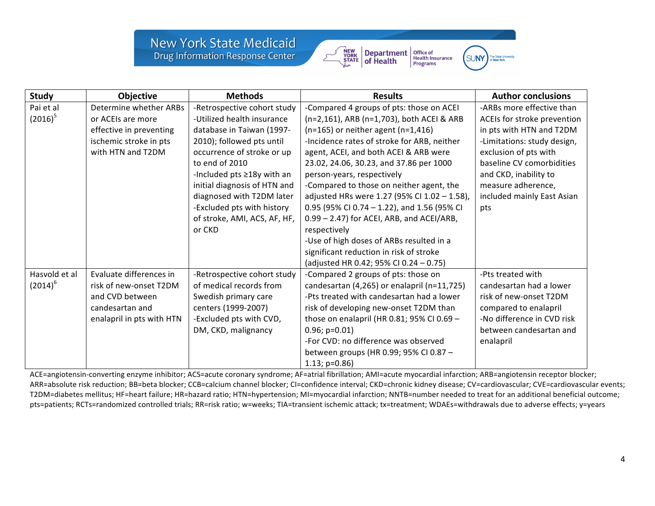# **New York State Medicaid** Drug Information Response Center



Office of<br>Health Insurance<br>Programs **SUNY** 

| <b>Study</b>  | Objective                 | <b>Methods</b>               | <b>Results</b>                               | <b>Author conclusions</b>   |
|---------------|---------------------------|------------------------------|----------------------------------------------|-----------------------------|
| Pai et al     | Determine whether ARBs    | -Retrospective cohort study  | -Compared 4 groups of pts: those on ACEI     | -ARBs more effective than   |
| $(2016)^5$    | or ACEIs are more         | -Utilized health insurance   | (n=2,161), ARB (n=1,703), both ACEI & ARB    | ACEIs for stroke prevention |
|               | effective in preventing   | database in Taiwan (1997-    | $(n=165)$ or neither agent $(n=1,416)$       | in pts with HTN and T2DM    |
|               | ischemic stroke in pts    | 2010); followed pts until    | -Incidence rates of stroke for ARB, neither  | -Limitations: study design, |
|               | with HTN and T2DM         | occurrence of stroke or up   | agent, ACEI, and both ACEI & ARB were        | exclusion of pts with       |
|               |                           | to end of 2010               | 23.02, 24.06, 30.23, and 37.86 per 1000      | baseline CV comorbidities   |
|               |                           | -Included pts ≥18y with an   | person-years, respectively                   | and CKD, inability to       |
|               |                           | initial diagnosis of HTN and | -Compared to those on neither agent, the     | measure adherence,          |
|               |                           | diagnosed with T2DM later    | adjusted HRs were 1.27 (95% CI 1.02 - 1.58), | included mainly East Asian  |
|               |                           | -Excluded pts with history   | 0.95 (95% CI 0.74 - 1.22), and 1.56 (95% CI  | pts                         |
|               |                           | of stroke, AMI, ACS, AF, HF, | 0.99 - 2.47) for ACEI, ARB, and ACEI/ARB,    |                             |
|               |                           | or CKD                       | respectively                                 |                             |
|               |                           |                              | -Use of high doses of ARBs resulted in a     |                             |
|               |                           |                              | significant reduction in risk of stroke      |                             |
|               |                           |                              | (adjusted HR 0.42; 95% CI 0.24 - 0.75)       |                             |
| Hasvold et al | Evaluate differences in   | -Retrospective cohort study  | -Compared 2 groups of pts: those on          | -Pts treated with           |
| $(2014)^6$    | risk of new-onset T2DM    | of medical records from      | candesartan (4,265) or enalapril (n=11,725)  | candesartan had a lower     |
|               | and CVD between           | Swedish primary care         | -Pts treated with candesartan had a lower    | risk of new-onset T2DM      |
|               | candesartan and           | centers (1999-2007)          | risk of developing new-onset T2DM than       | compared to enalapril       |
|               | enalapril in pts with HTN | -Excluded pts with CVD,      | those on enalapril (HR 0.81; 95% CI 0.69 -   | -No difference in CVD risk  |
|               |                           | DM, CKD, malignancy          | $0.96; p=0.01$                               | between candesartan and     |
|               |                           |                              | -For CVD: no difference was observed         | enalapril                   |
|               |                           |                              | between groups (HR 0.99; 95% CI 0.87 -       |                             |
|               |                           |                              | $1.13$ ; p=0.86)                             |                             |

ACE=angiotensin-converting enzyme inhibitor; ACS=acute coronary syndrome; AF=atrial fibrillation; AMI=acute myocardial infarction; ARB=angiotensin receptor blocker; ARR=absolute risk reduction; BB=beta blocker; CCB=calcium channel blocker; CI=confidence interval; CKD=chronic kidney disease; CV=cardiovascular; CVE=cardiovascular events; T2DM=diabetes mellitus; HF=heart failure; HR=hazard ratio; HTN=hypertension; MI=myocardial infarction; NNTB=number needed to treat for an additional beneficial outcome; pts=patients; RCTs=randomized controlled trials; RR=risk ratio; w=weeks; TIA=transient ischemic attack; tx=treatment; WDAEs=withdrawals due to adverse effects; y=years